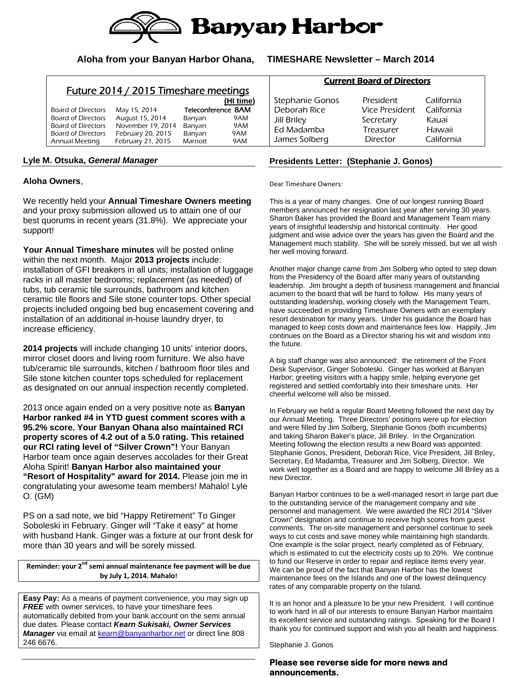

### **Aloha from your Banyan Harbor Ohana, TIMESHARE Newsletter – March 2014**

## Future 2014 / 2015 Timeshare meetings

|                           |                   |                 | (HI time)          |
|---------------------------|-------------------|-----------------|--------------------|
| Board of Directors        | May 15, 2014      |                 | Teleconference 8AM |
| <b>Board of Directors</b> | August 15, 2014   | Banyan          | 9AM                |
| <b>Board of Directors</b> | November 19, 2014 | Banyan          | 9AM                |
| Board of Directors        | February 20, 2015 | Banyan          | 9AM                |
| Annual Meeting            | February 21, 2015 | <b>Marriott</b> | 9AM                |

#### **Lyle M. Otsuka,** *General Manager*

#### **Aloha Owners**,

We recently held your **Annual Timeshare Owners meeting** and your proxy submission allowed us to attain one of our best quorums in recent years (31.8%). We appreciate your support!

**Your Annual Timeshare minutes** will be posted online within the next month. Major **2013 projects** include: installation of GFI breakers in all units; installation of luggage racks in all master bedrooms; replacement (as needed) of tubs, tub ceramic tile surrounds, bathroom and kitchen ceramic tile floors and Sile stone counter tops. Other special projects included ongoing bed bug encasement covering and installation of an additional in-house laundry dryer, to increase efficiency.

**2014 projects** will include changing 10 units' interior doors, mirror closet doors and living room furniture. We also have tub/ceramic tile surrounds, kitchen / bathroom floor tiles and Sile stone kitchen counter tops scheduled for replacement as designated on our annual inspection recently completed.

2013 once again ended on a very positive note as **Banyan Harbor ranked #4 in YTD guest comment scores with a 95.2% score. Your Banyan Ohana also maintained RCI property scores of 4.2 out of a 5.0 rating. This retained our RCI rating level of "Silver Crown"!** Your Banyan Harbor team once again deserves accolades for their Great Aloha Spirit! **Banyan Harbor also maintained your "Resort of Hospitality" award for 2014.** Please join me in congratulating your awesome team members! Mahalo! Lyle O. (GM)

PS on a sad note, we bid "Happy Retirement" To Ginger Soboleski in February. Ginger will "Take it easy" at home with husband Hank. Ginger was a fixture at our front desk for more than 30 years and will be sorely missed.

**Reminder: your 2nd semi annual maintenance fee payment will be due by July 1, 2014. Mahalo!**

**Easy Pay:** As a means of payment convenience, you may sign up **FREE** with owner services, to have your timeshare fees automatically debited from your bank account on the semi annual due dates. Please contact *Kearn Sukisaki, Owner Services Manager* via email at kearn@banyanharbor.net or direct line 808 246 6676.

|              | Stephanie Gonos    | President      | California |  |  |
|--------------|--------------------|----------------|------------|--|--|
| Deborah Rice |                    | Vice President | California |  |  |
|              | <b>Jill Briley</b> | Secretary      | Kauai      |  |  |
|              | Ed Madamba         | Treasurer      | Hawaii     |  |  |
|              | James Solberg      | Director       | California |  |  |

Current Board of Directors

#### **Presidents Letter: (Stephanie J. Gonos)**

Dear Timeshare Owners:

This is a year of many changes. One of our longest running Board members announced her resignation last year after serving 30 years. Sharon Baker has provided the Board and Management Team many years of insightful leadership and historical continuity. Her good judgment and wise advice over the years has given the Board and the Management much stability. She will be sorely missed, but we all wish her well moving forward.

Another major change came from Jim Solberg who opted to step down from the Presidency of the Board after many years of outstanding leadership. Jim brought a depth of business management and financial acumen to the board that will be hard to follow. His many years of outstanding leadership, working closely with the Management Team, have succeeded in providing Timeshare Owners with an exemplary resort destination for many years. Under his guidance the Board has managed to keep costs down and maintenance fees low. Happily, Jim continues on the Board as a Director sharing his wit and wisdom into the future.

A big staff change was also announced: the retirement of the Front Desk Supervisor, Ginger Soboleski. Ginger has worked at Banyan Harbor; greeting visitors with a happy smile, helping everyone get registered and settled comfortably into their timeshare units. Her cheerful welcome will also be missed.

In February we held a regular Board Meeting followed the next day by our Annual Meeting. Three Directors' positions were up for election and were filled by Jim Solberg, Stephanie Gonos (both incumbents) and taking Sharon Baker's place, Jill Briley. In the Organization Meeting following the election results a new Board was appointed: Stephanie Gonos, President, Deborah Rice, Vice President, Jill Briley, Secretary, Ed Madamba, Treasurer and Jim Solberg, Director. We work well together as a Board and are happy to welcome Jill Briley as a new Director.

Banyan Harbor continues to be a well-managed resort in large part due to the outstanding service of the management company and site personnel and management. We were awarded the RCI 2014 "Silver Crown" designation and continue to receive high scores from guest comments. The on-site management and personnel continue to seek ways to cut costs and save money while maintaining high standards. One example is the solar project, nearly completed as of February, which is estimated to cut the electricity costs up to 20%. We continue to fund our Reserve in order to repair and replace items every year. We can be proud of the fact that Banyan Harbor has the lowest maintenance fees on the Islands and one of the lowest delinquency rates of any comparable property on the Island.

It is an honor and a pleasure to be your new President. I will continue to work hard in all of our interests to ensure Banyan Harbor maintains its excellent service and outstanding ratings. Speaking for the Board I thank you for continued support and wish you all health and happiness.

Stephanie J. Gonos

#### **Please see reverse side for more news and announcements.**